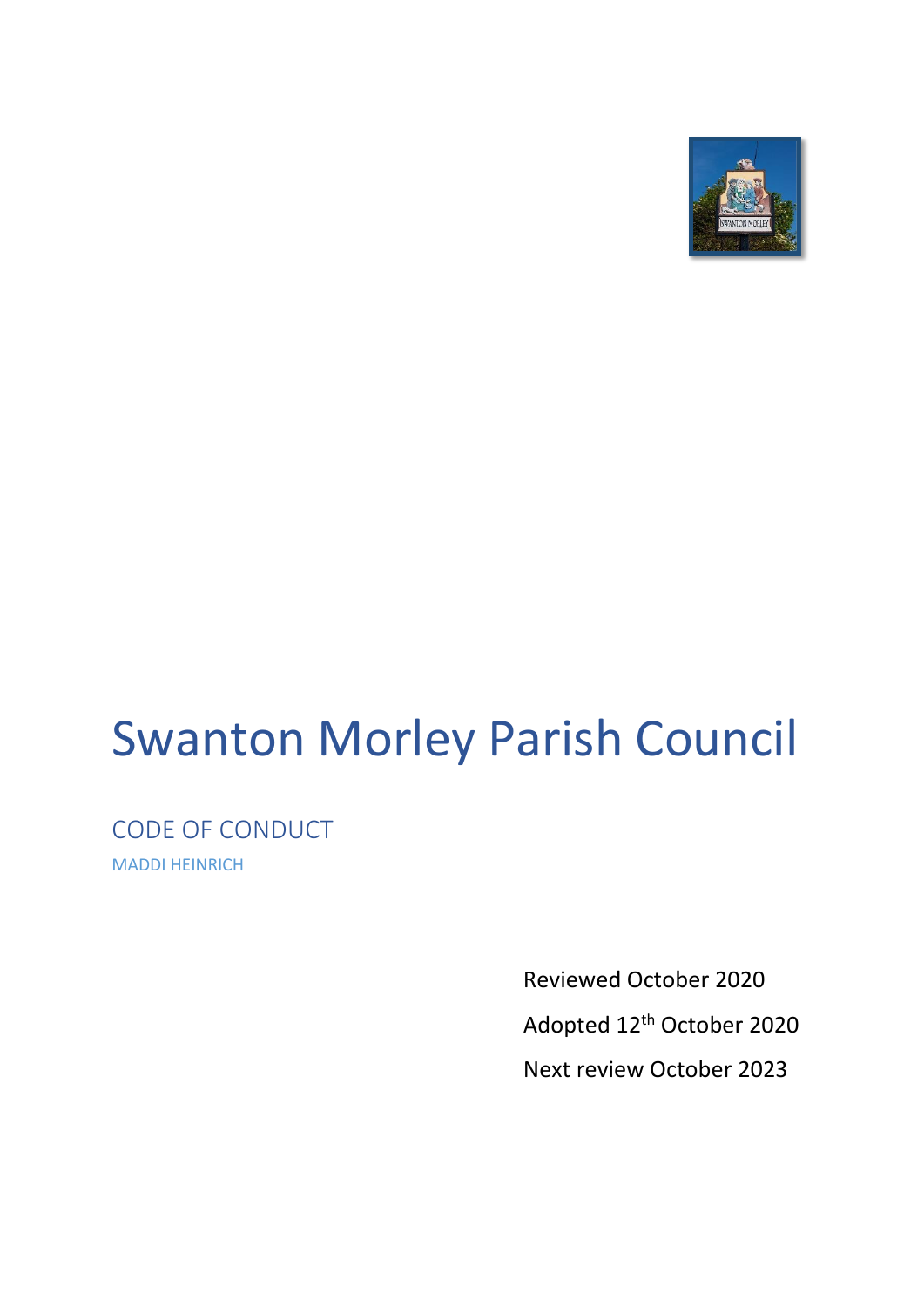

# Swanton Morley Parish Council

CODE OF CONDUCT MADDI HEINRICH

> Reviewed October 2020 Adopted 12th October 2020 Next review October 2023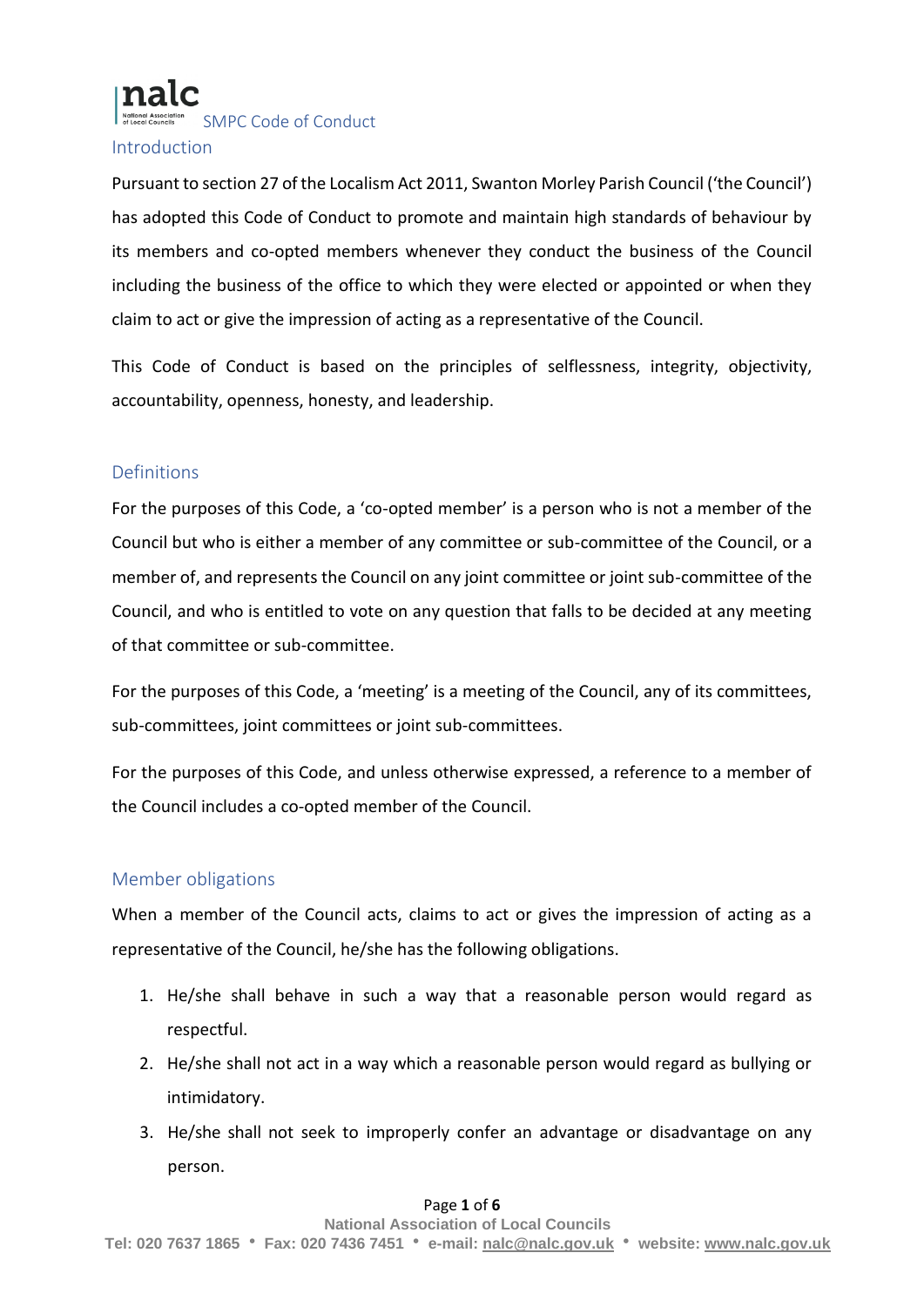SMPC Code of Conduct

#### **Introduction**

Pursuant to section 27 of the Localism Act 2011, Swanton Morley Parish Council ('the Council') has adopted this Code of Conduct to promote and maintain high standards of behaviour by its members and co-opted members whenever they conduct the business of the Council including the business of the office to which they were elected or appointed or when they claim to act or give the impression of acting as a representative of the Council.

This Code of Conduct is based on the principles of selflessness, integrity, objectivity, accountability, openness, honesty, and leadership.

#### Definitions

For the purposes of this Code, a 'co-opted member' is a person who is not a member of the Council but who is either a member of any committee or sub-committee of the Council, or a member of, and represents the Council on any joint committee or joint sub-committee of the Council, and who is entitled to vote on any question that falls to be decided at any meeting of that committee or sub-committee.

For the purposes of this Code, a 'meeting' is a meeting of the Council, any of its committees, sub-committees, joint committees or joint sub-committees.

For the purposes of this Code, and unless otherwise expressed, a reference to a member of the Council includes a co-opted member of the Council.

#### Member obligations

When a member of the Council acts, claims to act or gives the impression of acting as a representative of the Council, he/she has the following obligations.

- 1. He/she shall behave in such a way that a reasonable person would regard as respectful.
- 2. He/she shall not act in a way which a reasonable person would regard as bullying or intimidatory.
- 3. He/she shall not seek to improperly confer an advantage or disadvantage on any person.

#### Page **1** of **6**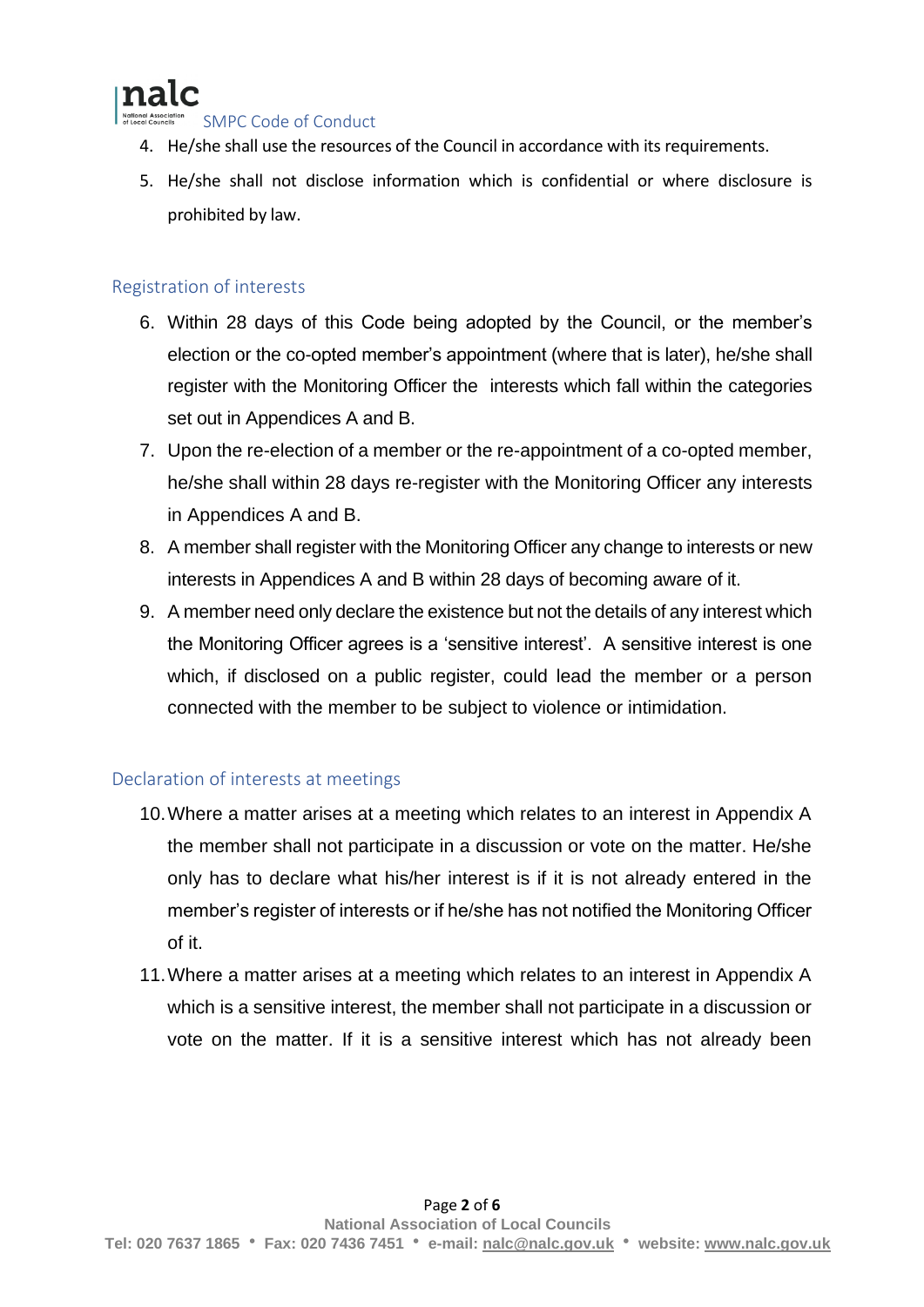### nalc

SMPC Code of Conduct

- 4. He/she shall use the resources of the Council in accordance with its requirements.
- 5. He/she shall not disclose information which is confidential or where disclosure is prohibited by law.

#### Registration of interests

- 6. Within 28 days of this Code being adopted by the Council, or the member's election or the co-opted member's appointment (where that is later), he/she shall register with the Monitoring Officer the interests which fall within the categories set out in Appendices A and B.
- 7. Upon the re-election of a member or the re-appointment of a co-opted member, he/she shall within 28 days re-register with the Monitoring Officer any interests in Appendices A and B.
- 8. A member shall register with the Monitoring Officer any change to interests or new interests in Appendices A and B within 28 days of becoming aware of it.
- 9. A member need only declare the existence but not the details of any interest which the Monitoring Officer agrees is a 'sensitive interest'. A sensitive interest is one which, if disclosed on a public register, could lead the member or a person connected with the member to be subject to violence or intimidation.

#### Declaration of interests at meetings

- 10.Where a matter arises at a meeting which relates to an interest in Appendix A the member shall not participate in a discussion or vote on the matter. He/she only has to declare what his/her interest is if it is not already entered in the member's register of interests or if he/she has not notified the Monitoring Officer of it.
- 11.Where a matter arises at a meeting which relates to an interest in Appendix A which is a sensitive interest, the member shall not participate in a discussion or vote on the matter. If it is a sensitive interest which has not already been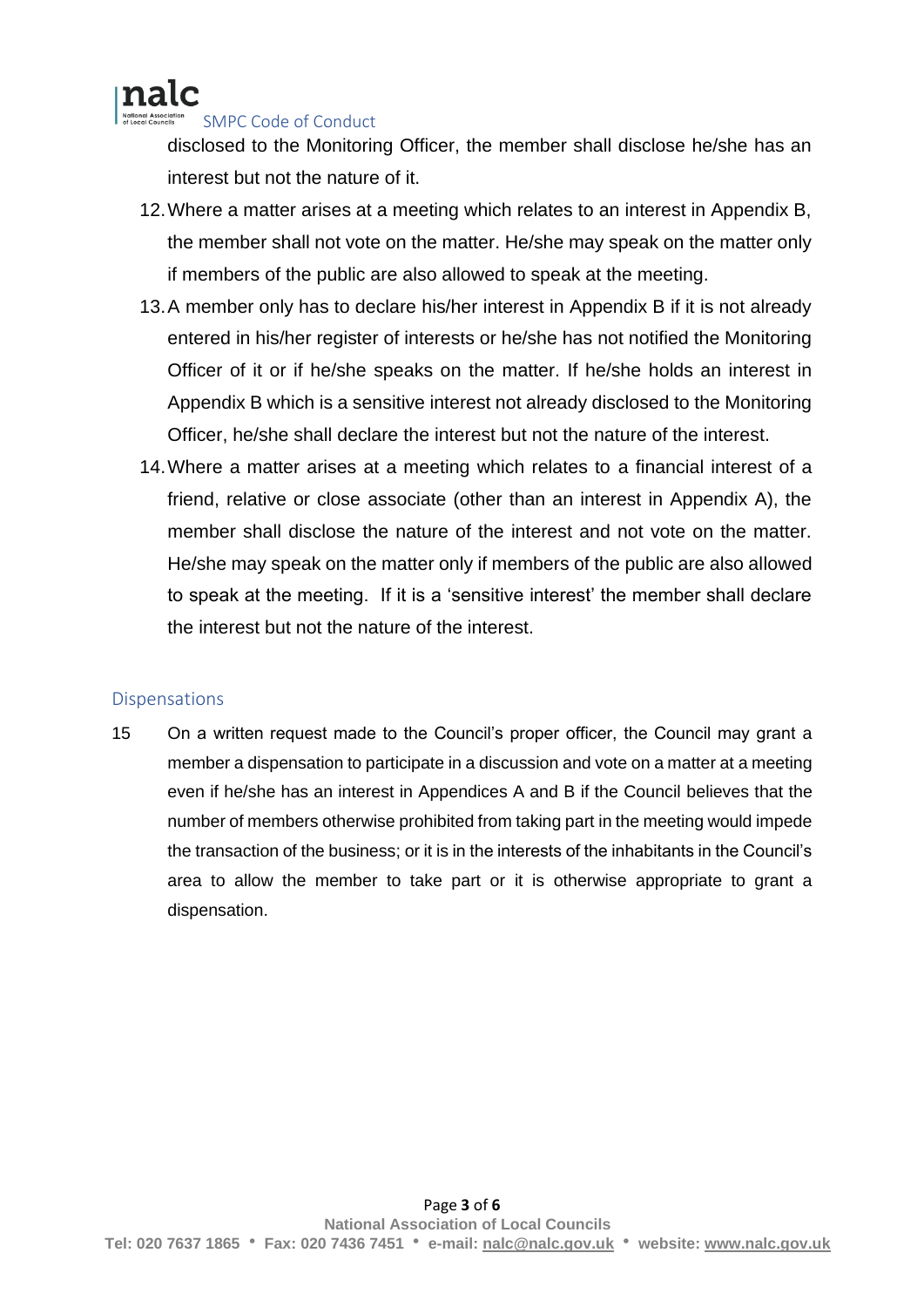

#### SMPC Code of Conduct

disclosed to the Monitoring Officer, the member shall disclose he/she has an interest but not the nature of it.

- 12.Where a matter arises at a meeting which relates to an interest in Appendix B, the member shall not vote on the matter. He/she may speak on the matter only if members of the public are also allowed to speak at the meeting.
- 13.A member only has to declare his/her interest in Appendix B if it is not already entered in his/her register of interests or he/she has not notified the Monitoring Officer of it or if he/she speaks on the matter. If he/she holds an interest in Appendix B which is a sensitive interest not already disclosed to the Monitoring Officer, he/she shall declare the interest but not the nature of the interest.
- 14.Where a matter arises at a meeting which relates to a financial interest of a friend, relative or close associate (other than an interest in Appendix A), the member shall disclose the nature of the interest and not vote on the matter. He/she may speak on the matter only if members of the public are also allowed to speak at the meeting. If it is a 'sensitive interest' the member shall declare the interest but not the nature of the interest.

#### **Dispensations**

15 On a written request made to the Council's proper officer, the Council may grant a member a dispensation to participate in a discussion and vote on a matter at a meeting even if he/she has an interest in Appendices A and B if the Council believes that the number of members otherwise prohibited from taking part in the meeting would impede the transaction of the business; or it is in the interests of the inhabitants in the Council's area to allow the member to take part or it is otherwise appropriate to grant a dispensation.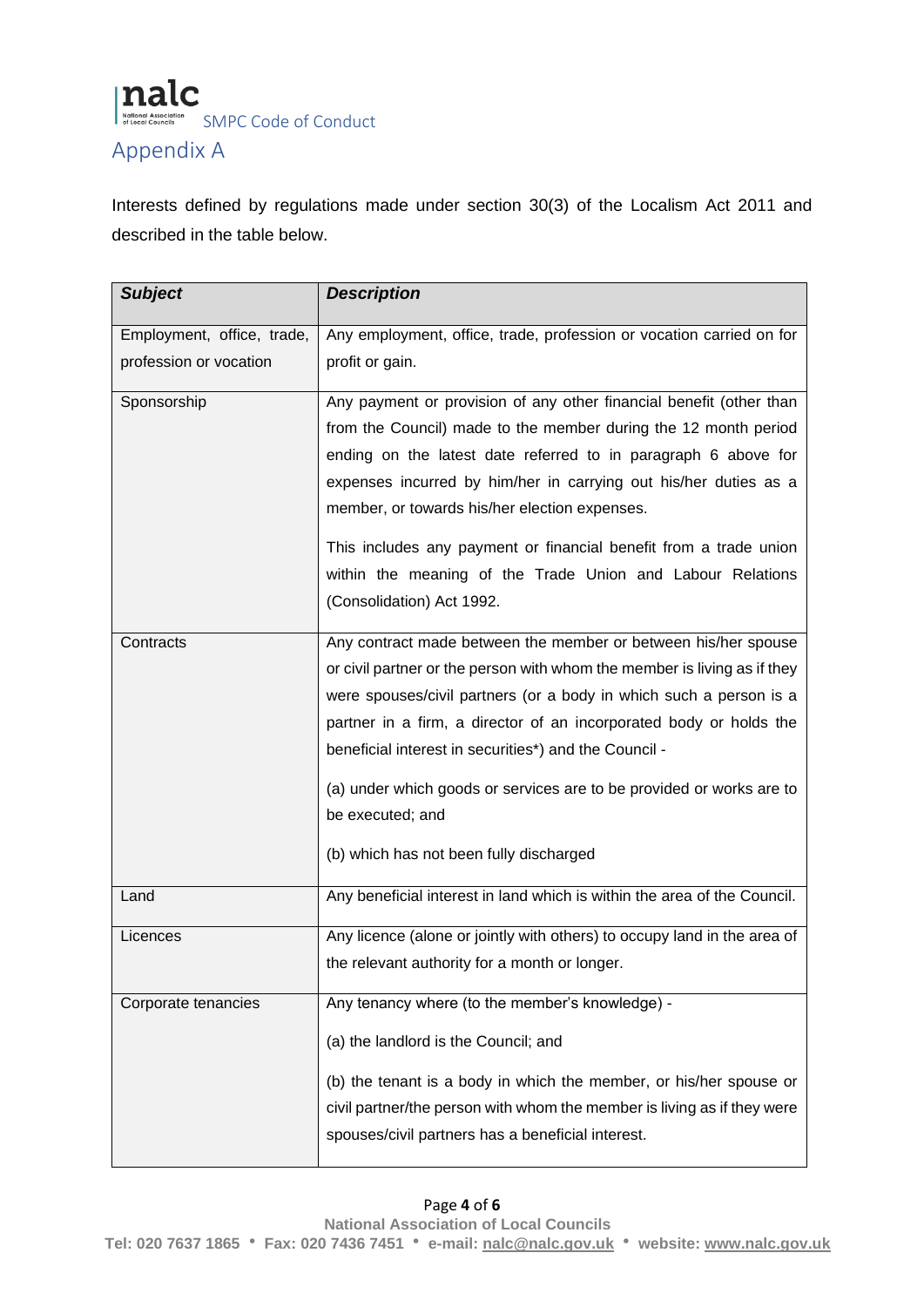

### Appendix A

Interests defined by regulations made under section 30(3) of the Localism Act 2011 and described in the table below.

| <b>Subject</b>                                       | <b>Description</b>                                                                                                                                                                                                                                                                                                                                                                                                                                                                            |
|------------------------------------------------------|-----------------------------------------------------------------------------------------------------------------------------------------------------------------------------------------------------------------------------------------------------------------------------------------------------------------------------------------------------------------------------------------------------------------------------------------------------------------------------------------------|
| Employment, office, trade,<br>profession or vocation | Any employment, office, trade, profession or vocation carried on for<br>profit or gain.                                                                                                                                                                                                                                                                                                                                                                                                       |
| Sponsorship                                          | Any payment or provision of any other financial benefit (other than<br>from the Council) made to the member during the 12 month period<br>ending on the latest date referred to in paragraph 6 above for<br>expenses incurred by him/her in carrying out his/her duties as a<br>member, or towards his/her election expenses.<br>This includes any payment or financial benefit from a trade union<br>within the meaning of the Trade Union and Labour Relations<br>(Consolidation) Act 1992. |
| Contracts                                            | Any contract made between the member or between his/her spouse<br>or civil partner or the person with whom the member is living as if they<br>were spouses/civil partners (or a body in which such a person is a<br>partner in a firm, a director of an incorporated body or holds the<br>beneficial interest in securities*) and the Council -<br>(a) under which goods or services are to be provided or works are to<br>be executed; and<br>(b) which has not been fully discharged        |
| Land                                                 | Any beneficial interest in land which is within the area of the Council.                                                                                                                                                                                                                                                                                                                                                                                                                      |
| Licences                                             | Any licence (alone or jointly with others) to occupy land in the area of<br>the relevant authority for a month or longer.                                                                                                                                                                                                                                                                                                                                                                     |
| Corporate tenancies                                  | Any tenancy where (to the member's knowledge) -<br>(a) the landlord is the Council; and<br>(b) the tenant is a body in which the member, or his/her spouse or<br>civil partner/the person with whom the member is living as if they were<br>spouses/civil partners has a beneficial interest.                                                                                                                                                                                                 |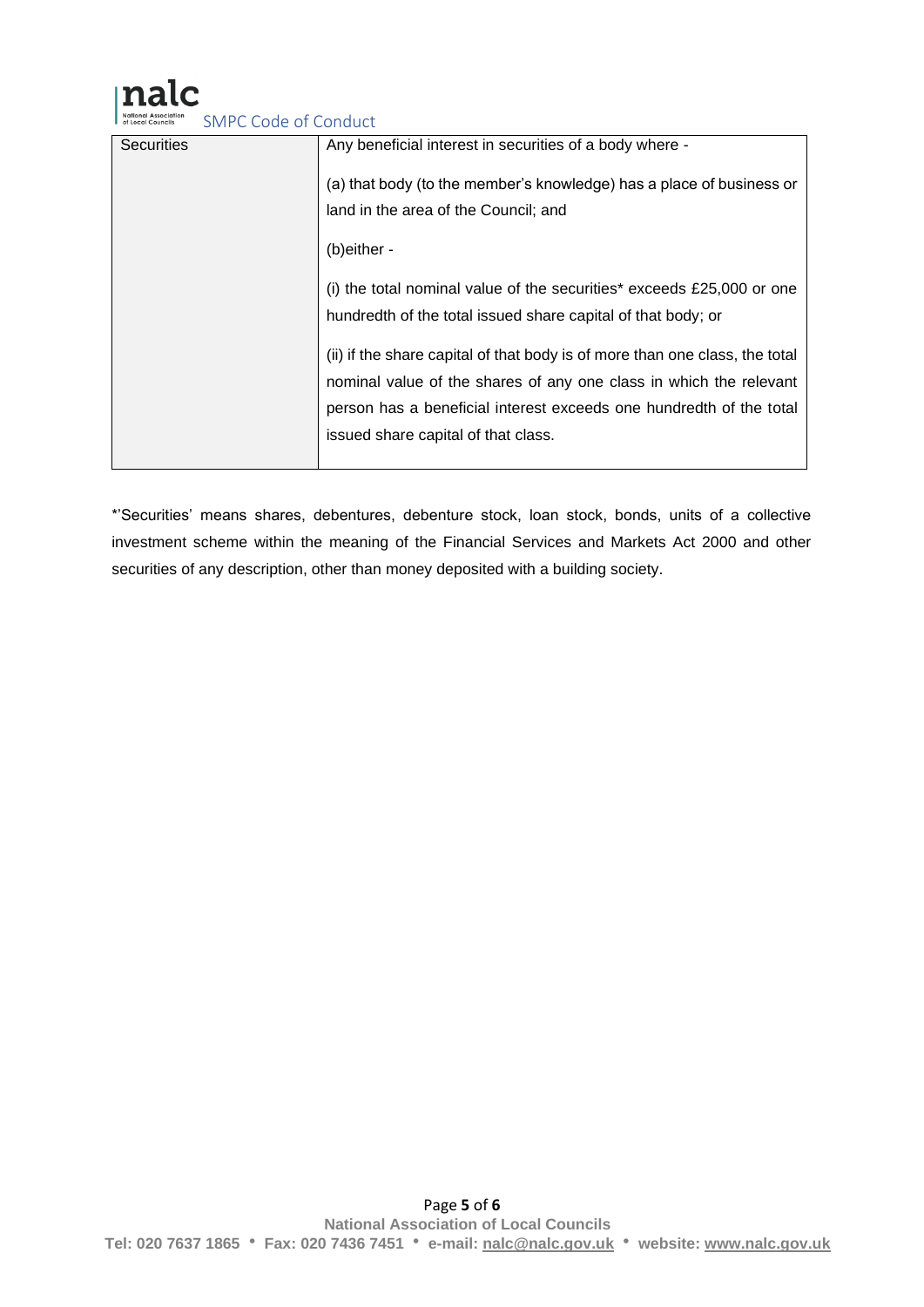## nalc

SMPC Code of Conduct

| <b>Securities</b> | Any beneficial interest in securities of a body where -                     |
|-------------------|-----------------------------------------------------------------------------|
|                   | (a) that body (to the member's knowledge) has a place of business or        |
|                   | land in the area of the Council; and                                        |
|                   | (b)either -                                                                 |
|                   | (i) the total nominal value of the securities* exceeds £25,000 or one       |
|                   | hundredth of the total issued share capital of that body; or                |
|                   | (ii) if the share capital of that body is of more than one class, the total |
|                   | nominal value of the shares of any one class in which the relevant          |
|                   | person has a beneficial interest exceeds one hundredth of the total         |
|                   | issued share capital of that class.                                         |
|                   |                                                                             |

\*'Securities' means shares, debentures, debenture stock, loan stock, bonds, units of a collective investment scheme within the meaning of the Financial Services and Markets Act 2000 and other securities of any description, other than money deposited with a building society.